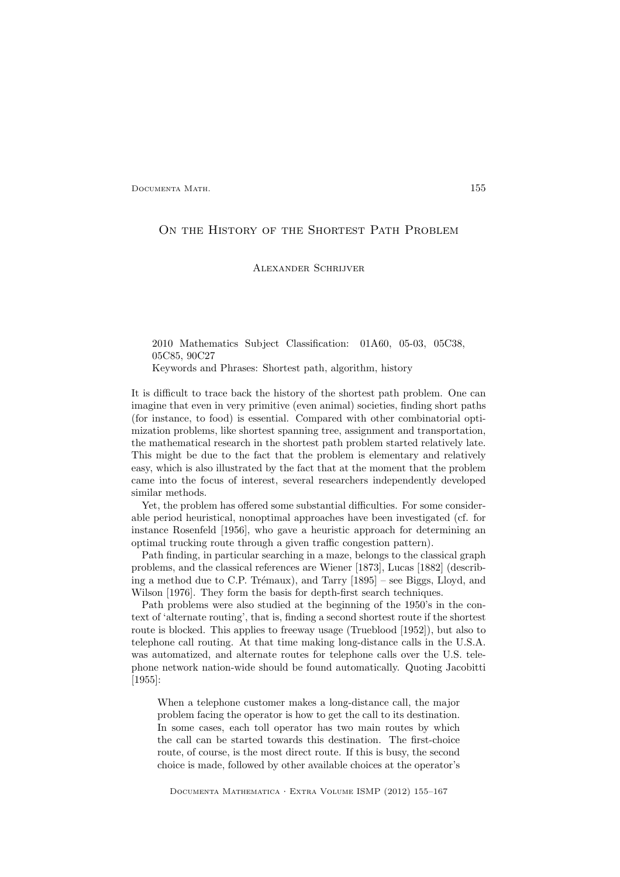Documenta Math. 155

# ON THE HISTORY OF THE SHORTEST PATH PROBLEM

# Alexander Schrijver

2010 Mathematics Subject Classification: 01A60, 05-03, 05C38, 05C85, 90C27

Keywords and Phrases: Shortest path, algorithm, history

It is difficult to trace back the history of the shortest path problem. One can imagine that even in very primitive (even animal) societies, finding short paths (for instance, to food) is essential. Compared with other combinatorial optimization problems, like shortest spanning tree, assignment and transportation, the mathematical research in the shortest path problem started relatively late. This might be due to the fact that the problem is elementary and relatively easy, which is also illustrated by the fact that at the moment that the problem came into the focus of interest, several researchers independently developed similar methods.

Yet, the problem has offered some substantial difficulties. For some considerable period heuristical, nonoptimal approaches have been investigated (cf. for instance Rosenfeld [1956], who gave a heuristic approach for determining an optimal trucking route through a given traffic congestion pattern).

Path finding, in particular searching in a maze, belongs to the classical graph problems, and the classical references are Wiener [1873], Lucas [1882] (describing a method due to C.P. Trémaux), and Tarry  $[1895]$  – see Biggs, Lloyd, and Wilson [1976]. They form the basis for depth-first search techniques.

Path problems were also studied at the beginning of the 1950's in the context of 'alternate routing', that is, finding a second shortest route if the shortest route is blocked. This applies to freeway usage (Trueblood [1952]), but also to telephone call routing. At that time making long-distance calls in the U.S.A. was automatized, and alternate routes for telephone calls over the U.S. telephone network nation-wide should be found automatically. Quoting Jacobitti [1955]:

When a telephone customer makes a long-distance call, the major problem facing the operator is how to get the call to its destination. In some cases, each toll operator has two main routes by which the call can be started towards this destination. The first-choice route, of course, is the most direct route. If this is busy, the second choice is made, followed by other available choices at the operator's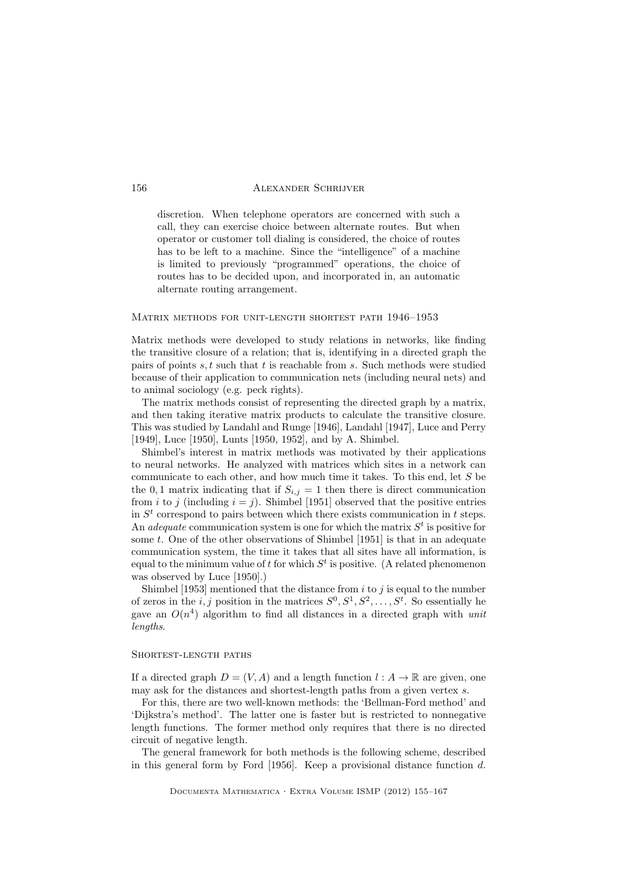### 156 ALEXANDER SCHRIJVER

discretion. When telephone operators are concerned with such a call, they can exercise choice between alternate routes. But when operator or customer toll dialing is considered, the choice of routes has to be left to a machine. Since the "intelligence" of a machine is limited to previously "programmed" operations, the choice of routes has to be decided upon, and incorporated in, an automatic alternate routing arrangement.

### Matrix methods for unit-length shortest path 1946–1953

Matrix methods were developed to study relations in networks, like finding the transitive closure of a relation; that is, identifying in a directed graph the pairs of points s, t such that t is reachable from s. Such methods were studied because of their application to communication nets (including neural nets) and to animal sociology (e.g. peck rights).

The matrix methods consist of representing the directed graph by a matrix, and then taking iterative matrix products to calculate the transitive closure. This was studied by Landahl and Runge [1946], Landahl [1947], Luce and Perry [1949], Luce [1950], Lunts [1950, 1952], and by A. Shimbel.

Shimbel's interest in matrix methods was motivated by their applications to neural networks. He analyzed with matrices which sites in a network can communicate to each other, and how much time it takes. To this end, let S be the 0,1 matrix indicating that if  $S_{i,j} = 1$  then there is direct communication from i to j (including  $i = j$ ). Shimbel [1951] observed that the positive entries in  $S<sup>t</sup>$  correspond to pairs between which there exists communication in t steps. An *adequate* communication system is one for which the matrix  $S<sup>t</sup>$  is positive for some  $t$ . One of the other observations of Shimbel [1951] is that in an adequate communication system, the time it takes that all sites have all information, is equal to the minimum value of t for which  $S<sup>t</sup>$  is positive. (A related phenomenon was observed by Luce [1950].)

Shimbel [1953] mentioned that the distance from  $i$  to  $j$  is equal to the number of zeros in the *i*, *j* position in the matrices  $S^0, S^1, S^2, \ldots, S^t$ . So essentially he gave an  $O(n^4)$  algorithm to find all distances in a directed graph with unit lengths.

# Shortest-length paths

If a directed graph  $D = (V, A)$  and a length function  $l : A \to \mathbb{R}$  are given, one may ask for the distances and shortest-length paths from a given vertex s.

For this, there are two well-known methods: the 'Bellman-Ford method' and 'Dijkstra's method'. The latter one is faster but is restricted to nonnegative length functions. The former method only requires that there is no directed circuit of negative length.

The general framework for both methods is the following scheme, described in this general form by Ford  $[1956]$ . Keep a provisional distance function d.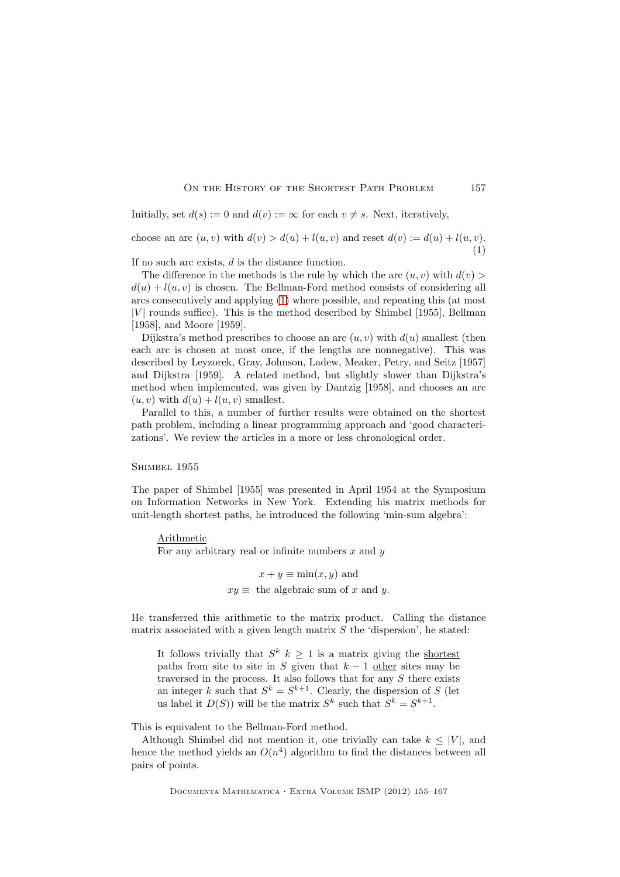Initially, set  $d(s) := 0$  and  $d(v) := \infty$  for each  $v \neq s$ . Next, iteratively,

<span id="page-2-0"></span>choose an arc  $(u, v)$  with  $d(v) > d(u) + l(u, v)$  and reset  $d(v) := d(u) + l(u, v)$ . (1)

If no such arc exists, d is the distance function.

The difference in the methods is the rule by which the arc  $(u, v)$  with  $d(v)$  $d(u) + l(u, v)$  is chosen. The Bellman-Ford method consists of considering all arcs consecutively and applying [\(1\)](#page-2-0) where possible, and repeating this (at most  $|V|$  rounds suffice). This is the method described by Shimbel [1955], Bellman [1958], and Moore [1959].

Dijkstra's method prescribes to choose an arc  $(u, v)$  with  $d(u)$  smallest (then each arc is chosen at most once, if the lengths are nonnegative). This was described by Leyzorek, Gray, Johnson, Ladew, Meaker, Petry, and Seitz [1957] and Dijkstra [1959]. A related method, but slightly slower than Dijkstra's method when implemented, was given by Dantzig [1958], and chooses an arc  $(u, v)$  with  $d(u) + l(u, v)$  smallest.

Parallel to this, a number of further results were obtained on the shortest path problem, including a linear programming approach and 'good characterizations'. We review the articles in a more or less chronological order.

### SHIMBEL 1955

The paper of Shimbel [1955] was presented in April 1954 at the Symposium on Information Networks in New York. Extending his matrix methods for unit-length shortest paths, he introduced the following 'min-sum algebra':

Arithmetic

For any arbitrary real or infinite numbers  $x$  and  $y$ 

 $x + y \equiv \min(x, y)$  and  $xy \equiv$  the algebraic sum of x and y.

He transferred this arithmetic to the matrix product. Calling the distance matrix associated with a given length matrix  $S$  the 'dispersion', he stated:

It follows trivially that  $S^k$   $k \geq 1$  is a matrix giving the shortest paths from site to site in S given that  $k - 1$  other sites may be traversed in the process. It also follows that for any  $S$  there exists an integer k such that  $S^k = S^{k+1}$ . Clearly, the dispersion of S (let us label it  $D(S)$  will be the matrix  $S^k$  such that  $S^k = S^{k+1}$ .

This is equivalent to the Bellman-Ford method.

Although Shimbel did not mention it, one trivially can take  $k \leq |V|$ , and hence the method yields an  $O(n^4)$  algorithm to find the distances between all pairs of points.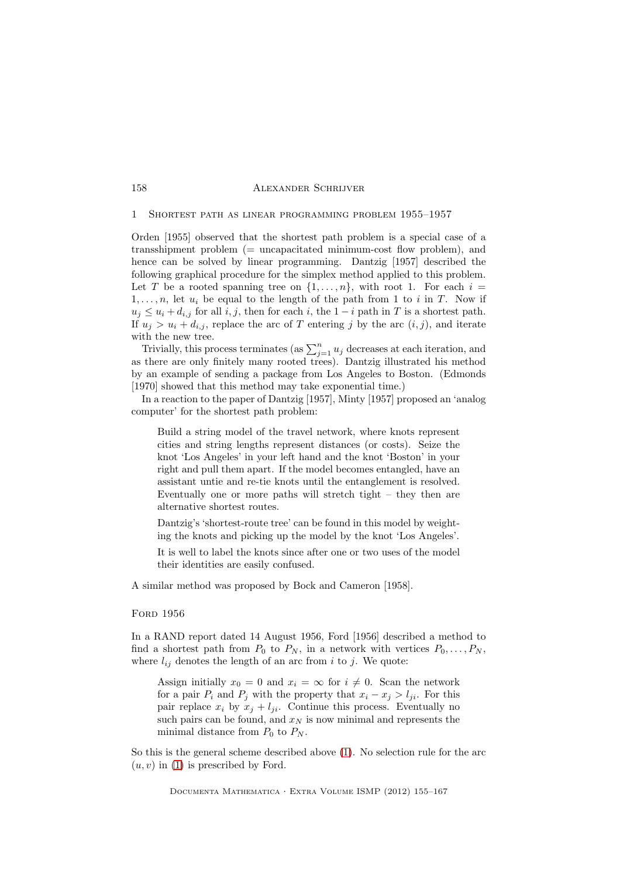### 158 Alexander Schrijver

### 1 Shortest path as linear programming problem 1955–1957

Orden [1955] observed that the shortest path problem is a special case of a transshipment problem (= uncapacitated minimum-cost flow problem), and hence can be solved by linear programming. Dantzig [1957] described the following graphical procedure for the simplex method applied to this problem. Let T be a rooted spanning tree on  $\{1, \ldots, n\}$ , with root 1. For each  $i =$  $1, \ldots, n$ , let  $u_i$  be equal to the length of the path from 1 to i in T. Now if  $u_j \leq u_i + d_{i,j}$  for all  $i, j$ , then for each  $i$ , the  $1 - i$  path in T is a shortest path. If  $u_i > u_i + d_{i,i}$ , replace the arc of T entering j by the arc  $(i, j)$ , and iterate with the new tree.

Trivially, this process terminates (as  $\sum_{j=1}^{n} u_j$  decreases at each iteration, and as there are only finitely many rooted trees). Dantzig illustrated his method by an example of sending a package from Los Angeles to Boston. (Edmonds [1970] showed that this method may take exponential time.)

In a reaction to the paper of Dantzig [1957], Minty [1957] proposed an 'analog computer' for the shortest path problem:

Build a string model of the travel network, where knots represent cities and string lengths represent distances (or costs). Seize the knot 'Los Angeles' in your left hand and the knot 'Boston' in your right and pull them apart. If the model becomes entangled, have an assistant untie and re-tie knots until the entanglement is resolved. Eventually one or more paths will stretch tight – they then are alternative shortest routes.

Dantzig's 'shortest-route tree' can be found in this model by weighting the knots and picking up the model by the knot 'Los Angeles'.

It is well to label the knots since after one or two uses of the model their identities are easily confused.

A similar method was proposed by Bock and Cameron [1958].

#### **FORD 1956**

In a RAND report dated 14 August 1956, Ford [1956] described a method to find a shortest path from  $P_0$  to  $P_N$ , in a network with vertices  $P_0, \ldots, P_N$ , where  $l_{ij}$  denotes the length of an arc from i to j. We quote:

Assign initially  $x_0 = 0$  and  $x_i = \infty$  for  $i \neq 0$ . Scan the network for a pair  $P_i$  and  $P_j$  with the property that  $x_i - x_j > l_{ji}$ . For this pair replace  $x_i$  by  $x_j + l_{ji}$ . Continue this process. Eventually no such pairs can be found, and  $x_N$  is now minimal and represents the minimal distance from  $P_0$  to  $P_N$ .

So this is the general scheme described above [\(1\)](#page-2-0). No selection rule for the arc  $(u, v)$  in [\(1\)](#page-2-0) is prescribed by Ford.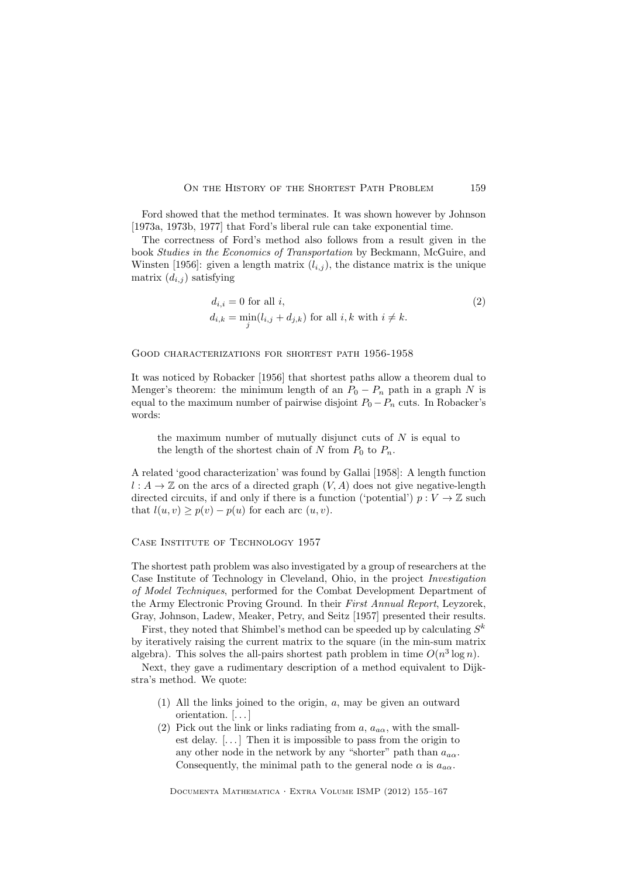Ford showed that the method terminates. It was shown however by Johnson [1973a, 1973b, 1977] that Ford's liberal rule can take exponential time.

The correctness of Ford's method also follows from a result given in the book Studies in the Economics of Transportation by Beckmann, McGuire, and Winsten [1956]: given a length matrix  $(l_{i,j})$ , the distance matrix is the unique matrix  $(d_{i,j})$  satisfying

$$
d_{i,i} = 0 \text{ for all } i,
$$
  
\n
$$
d_{i,k} = \min_j(l_{i,j} + d_{j,k}) \text{ for all } i,k \text{ with } i \neq k.
$$
\n(2)

Good characterizations for shortest path 1956-1958

It was noticed by Robacker [1956] that shortest paths allow a theorem dual to Menger's theorem: the minimum length of an  $P_0 - P_n$  path in a graph N is equal to the maximum number of pairwise disjoint  $P_0 - P_n$  cuts. In Robacker's words:

the maximum number of mutually disjunct cuts of  $N$  is equal to the length of the shortest chain of N from  $P_0$  to  $P_n$ .

A related 'good characterization' was found by Gallai [1958]: A length function  $l : A \to \mathbb{Z}$  on the arcs of a directed graph  $(V, A)$  does not give negative-length directed circuits, if and only if there is a function ('potential')  $p: V \to \mathbb{Z}$  such that  $l(u, v) \geq p(v) - p(u)$  for each arc  $(u, v)$ .

### Case Institute of Technology 1957

The shortest path problem was also investigated by a group of researchers at the Case Institute of Technology in Cleveland, Ohio, in the project Investigation of Model Techniques, performed for the Combat Development Department of the Army Electronic Proving Ground. In their First Annual Report, Leyzorek, Gray, Johnson, Ladew, Meaker, Petry, and Seitz [1957] presented their results.

First, they noted that Shimbel's method can be speeded up by calculating  $S^k$ by iteratively raising the current matrix to the square (in the min-sum matrix algebra). This solves the all-pairs shortest path problem in time  $O(n^3 \log n)$ .

Next, they gave a rudimentary description of a method equivalent to Dijkstra's method. We quote:

- (1) All the links joined to the origin, a, may be given an outward orientation. [. . . ]
- (2) Pick out the link or links radiating from a,  $a_{a\alpha}$ , with the smallest delay. [...] Then it is impossible to pass from the origin to any other node in the network by any "shorter" path than  $a_{a\alpha}$ . Consequently, the minimal path to the general node  $\alpha$  is  $a_{a\alpha}$ .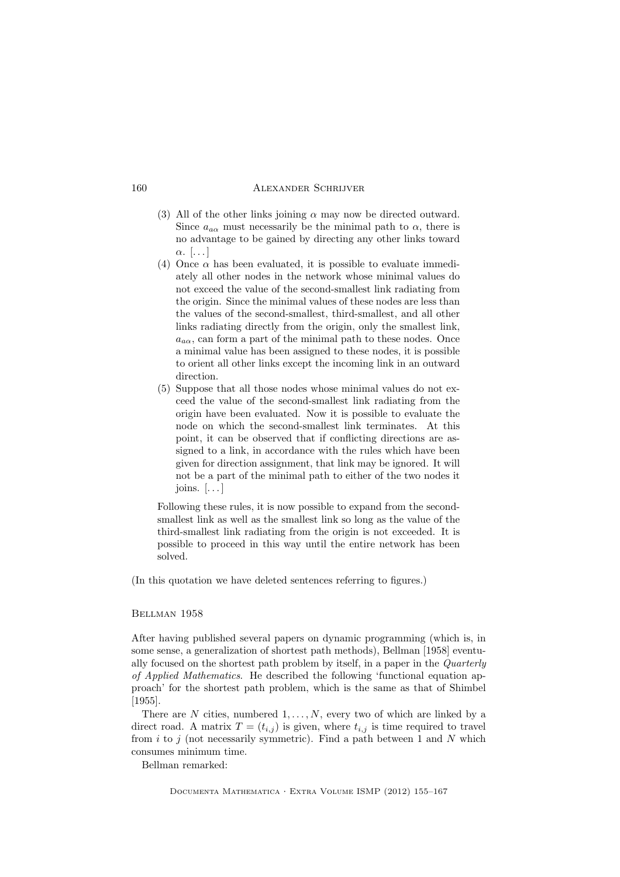# 160 Alexander Schrijver

- (3) All of the other links joining  $\alpha$  may now be directed outward. Since  $a_{a\alpha}$  must necessarily be the minimal path to  $\alpha$ , there is no advantage to be gained by directing any other links toward  $\alpha$ .  $\left[\dots\right]$
- (4) Once  $\alpha$  has been evaluated, it is possible to evaluate immediately all other nodes in the network whose minimal values do not exceed the value of the second-smallest link radiating from the origin. Since the minimal values of these nodes are less than the values of the second-smallest, third-smallest, and all other links radiating directly from the origin, only the smallest link,  $a_{a\alpha}$ , can form a part of the minimal path to these nodes. Once a minimal value has been assigned to these nodes, it is possible to orient all other links except the incoming link in an outward direction.
- (5) Suppose that all those nodes whose minimal values do not exceed the value of the second-smallest link radiating from the origin have been evaluated. Now it is possible to evaluate the node on which the second-smallest link terminates. At this point, it can be observed that if conflicting directions are assigned to a link, in accordance with the rules which have been given for direction assignment, that link may be ignored. It will not be a part of the minimal path to either of the two nodes it joins.  $[\dots]$

Following these rules, it is now possible to expand from the secondsmallest link as well as the smallest link so long as the value of the third-smallest link radiating from the origin is not exceeded. It is possible to proceed in this way until the entire network has been solved.

(In this quotation we have deleted sentences referring to figures.)

#### Bellman 1958

After having published several papers on dynamic programming (which is, in some sense, a generalization of shortest path methods), Bellman [1958] eventually focused on the shortest path problem by itself, in a paper in the Quarterly of Applied Mathematics. He described the following 'functional equation approach' for the shortest path problem, which is the same as that of Shimbel [1955].

There are N cities, numbered  $1, \ldots, N$ , every two of which are linked by a direct road. A matrix  $T = (t_{i,j})$  is given, where  $t_{i,j}$  is time required to travel from i to j (not necessarily symmetric). Find a path between 1 and N which consumes minimum time.

Bellman remarked: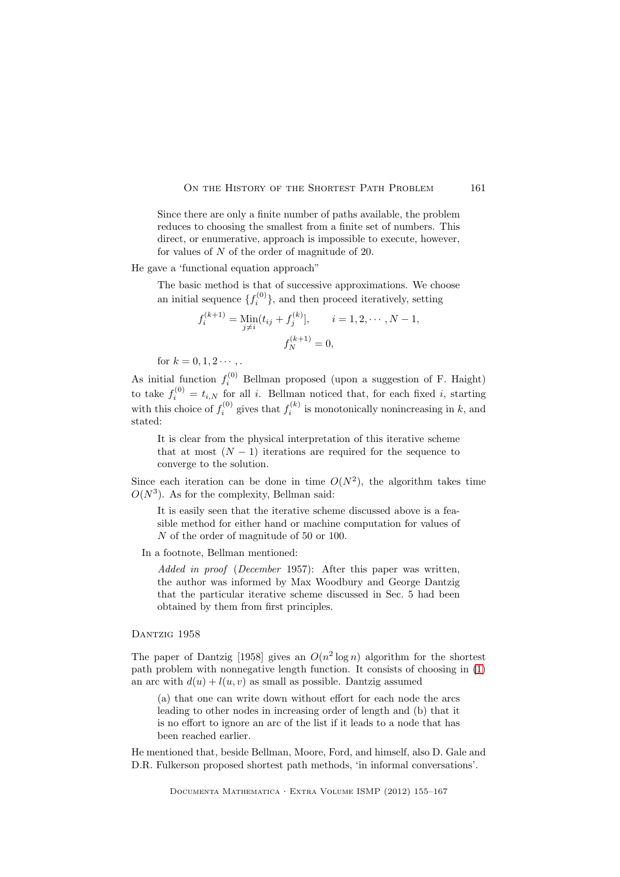Since there are only a finite number of paths available, the problem reduces to choosing the smallest from a finite set of numbers. This direct, or enumerative, approach is impossible to execute, however, for values of N of the order of magnitude of 20.

He gave a 'functional equation approach"

The basic method is that of successive approximations. We choose an initial sequence  $\{f_i^{(0)}\}$ , and then proceed iteratively, setting

$$
f_i^{(k+1)} = \underset{j \neq i}{\text{Min}}(t_{ij} + f_j^{(k)}], \qquad i = 1, 2, \cdots, N-1,
$$

$$
f_N^{(k+1)} = 0,
$$

for  $k = 0, 1, 2 \cdots$ .

As initial function  $f_i^{(0)}$  Bellman proposed (upon a suggestion of F. Haight) to take  $f_i^{(0)} = t_{i,N}$  for all i. Bellman noticed that, for each fixed i, starting with this choice of  $f_i^{(0)}$  gives that  $f_i^{(k)}$  is monotonically nonincreasing in k, and stated:

It is clear from the physical interpretation of this iterative scheme that at most  $(N - 1)$  iterations are required for the sequence to converge to the solution.

Since each iteration can be done in time  $O(N^2)$ , the algorithm takes time  $O(N^3)$ . As for the complexity, Bellman said:

It is easily seen that the iterative scheme discussed above is a feasible method for either hand or machine computation for values of N of the order of magnitude of 50 or 100.

In a footnote, Bellman mentioned:

Added in proof (December 1957): After this paper was written, the author was informed by Max Woodbury and George Dantzig that the particular iterative scheme discussed in Sec. 5 had been obtained by them from first principles.

### DANTZIG 1958

The paper of Dantzig [1958] gives an  $O(n^2 \log n)$  algorithm for the shortest path problem with nonnegative length function. It consists of choosing in [\(1\)](#page-2-0) an arc with  $d(u) + l(u, v)$  as small as possible. Dantzig assumed

(a) that one can write down without effort for each node the arcs leading to other nodes in increasing order of length and (b) that it is no effort to ignore an arc of the list if it leads to a node that has been reached earlier.

He mentioned that, beside Bellman, Moore, Ford, and himself, also D. Gale and D.R. Fulkerson proposed shortest path methods, 'in informal conversations'.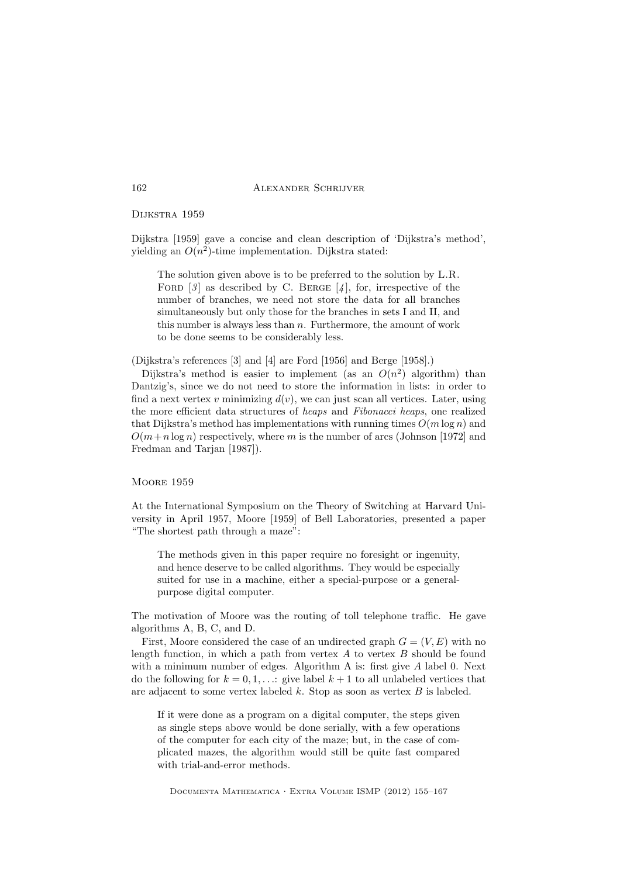# 162 ALEXANDER SCHRIJVER

DLIKSTRA 1959

Dijkstra [1959] gave a concise and clean description of 'Dijkstra's method', yielding an  $O(n^2)$ -time implementation. Dijkstra stated:

The solution given above is to be preferred to the solution by L.R. FORD  $\lbrack 3 \rbrack$  as described by C. BERGE  $\lbrack 4 \rbrack$ , for, irrespective of the number of branches, we need not store the data for all branches simultaneously but only those for the branches in sets I and II, and this number is always less than  $n$ . Furthermore, the amount of work to be done seems to be considerably less.

(Dijkstra's references [3] and [4] are Ford [1956] and Berge [1958].)

Dijkstra's method is easier to implement (as an  $O(n^2)$  algorithm) than Dantzig's, since we do not need to store the information in lists: in order to find a next vertex v minimizing  $d(v)$ , we can just scan all vertices. Later, using the more efficient data structures of heaps and Fibonacci heaps, one realized that Dijkstra's method has implementations with running times  $O(m \log n)$  and  $O(m+n \log n)$  respectively, where m is the number of arcs (Johnson [1972] and Fredman and Tarjan [1987]).

Moore 1959

At the International Symposium on the Theory of Switching at Harvard University in April 1957, Moore [1959] of Bell Laboratories, presented a paper "The shortest path through a maze":

The methods given in this paper require no foresight or ingenuity, and hence deserve to be called algorithms. They would be especially suited for use in a machine, either a special-purpose or a generalpurpose digital computer.

The motivation of Moore was the routing of toll telephone traffic. He gave algorithms A, B, C, and D.

First, Moore considered the case of an undirected graph  $G = (V, E)$  with no length function, in which a path from vertex  $A$  to vertex  $B$  should be found with a minimum number of edges. Algorithm A is: first give A label 0. Next do the following for  $k = 0, 1, \ldots$ : give label  $k + 1$  to all unlabeled vertices that are adjacent to some vertex labeled k. Stop as soon as vertex  $B$  is labeled.

If it were done as a program on a digital computer, the steps given as single steps above would be done serially, with a few operations of the computer for each city of the maze; but, in the case of complicated mazes, the algorithm would still be quite fast compared with trial-and-error methods.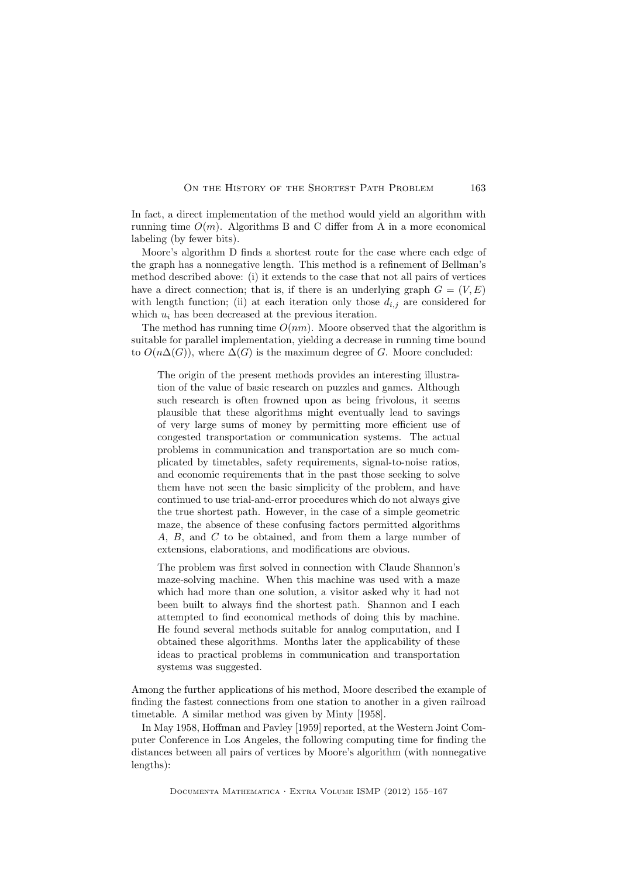

In fact, a direct implementation of the method would yield an algorithm with running time  $O(m)$ . Algorithms B and C differ from A in a more economical labeling (by fewer bits).

Moore's algorithm D finds a shortest route for the case where each edge of the graph has a nonnegative length. This method is a refinement of Bellman's method described above: (i) it extends to the case that not all pairs of vertices have a direct connection; that is, if there is an underlying graph  $G = (V, E)$ with length function; (ii) at each iteration only those  $d_{i,j}$  are considered for which  $u_i$  has been decreased at the previous iteration.

The method has running time  $O(nm)$ . Moore observed that the algorithm is suitable for parallel implementation, yielding a decrease in running time bound to  $O(n\Delta(G))$ , where  $\Delta(G)$  is the maximum degree of G. Moore concluded:

The origin of the present methods provides an interesting illustration of the value of basic research on puzzles and games. Although such research is often frowned upon as being frivolous, it seems plausible that these algorithms might eventually lead to savings of very large sums of money by permitting more efficient use of congested transportation or communication systems. The actual problems in communication and transportation are so much complicated by timetables, safety requirements, signal-to-noise ratios, and economic requirements that in the past those seeking to solve them have not seen the basic simplicity of the problem, and have continued to use trial-and-error procedures which do not always give the true shortest path. However, in the case of a simple geometric maze, the absence of these confusing factors permitted algorithms A, B, and C to be obtained, and from them a large number of extensions, elaborations, and modifications are obvious.

The problem was first solved in connection with Claude Shannon's maze-solving machine. When this machine was used with a maze which had more than one solution, a visitor asked why it had not been built to always find the shortest path. Shannon and I each attempted to find economical methods of doing this by machine. He found several methods suitable for analog computation, and I obtained these algorithms. Months later the applicability of these ideas to practical problems in communication and transportation systems was suggested.

Among the further applications of his method, Moore described the example of finding the fastest connections from one station to another in a given railroad timetable. A similar method was given by Minty [1958].

In May 1958, Hoffman and Pavley [1959] reported, at the Western Joint Computer Conference in Los Angeles, the following computing time for finding the distances between all pairs of vertices by Moore's algorithm (with nonnegative lengths):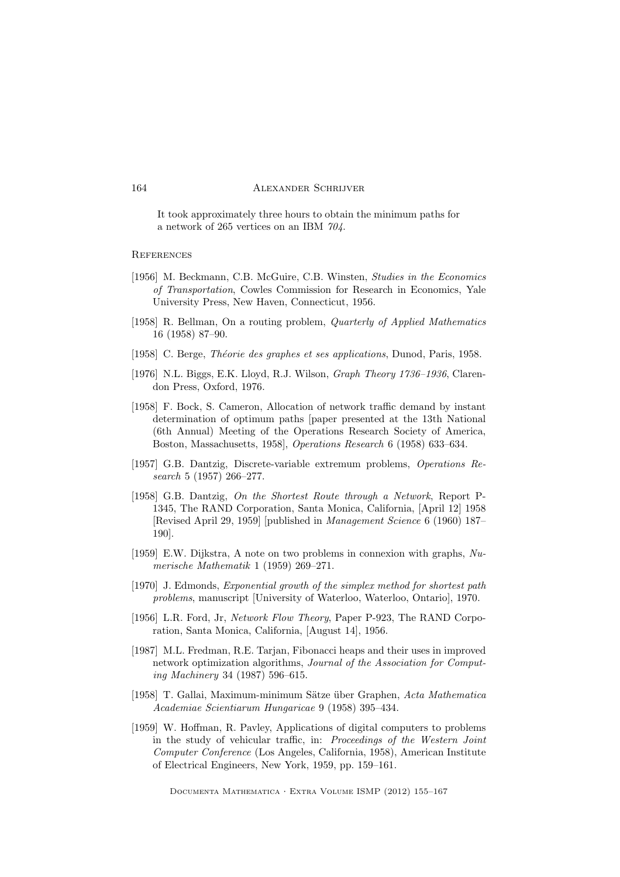### 164 ALEXANDER SCHRIJVER

It took approximately three hours to obtain the minimum paths for a network of 265 vertices on an IBM 704.

# **REFERENCES**

- [1956] M. Beckmann, C.B. McGuire, C.B. Winsten, Studies in the Economics of Transportation, Cowles Commission for Research in Economics, Yale University Press, New Haven, Connecticut, 1956.
- [1958] R. Bellman, On a routing problem, Quarterly of Applied Mathematics 16 (1958) 87–90.
- [1958] C. Berge, *Théorie des graphes et ses applications*, Dunod, Paris, 1958.
- [1976] N.L. Biggs, E.K. Lloyd, R.J. Wilson, Graph Theory 1736–1936, Clarendon Press, Oxford, 1976.
- [1958] F. Bock, S. Cameron, Allocation of network traffic demand by instant determination of optimum paths [paper presented at the 13th National (6th Annual) Meeting of the Operations Research Society of America, Boston, Massachusetts, 1958], Operations Research 6 (1958) 633–634.
- [1957] G.B. Dantzig, Discrete-variable extremum problems, Operations Research 5 (1957) 266–277.
- [1958] G.B. Dantzig, On the Shortest Route through a Network, Report P-1345, The RAND Corporation, Santa Monica, California, [April 12] 1958 [Revised April 29, 1959] [published in Management Science 6 (1960) 187– 190].
- [1959] E.W. Dijkstra, A note on two problems in connexion with graphs,  $Nu$ merische Mathematik 1 (1959) 269–271.
- [1970] J. Edmonds, Exponential growth of the simplex method for shortest path problems, manuscript [University of Waterloo, Waterloo, Ontario], 1970.
- [1956] L.R. Ford, Jr, Network Flow Theory, Paper P-923, The RAND Corporation, Santa Monica, California, [August 14], 1956.
- [1987] M.L. Fredman, R.E. Tarjan, Fibonacci heaps and their uses in improved network optimization algorithms, Journal of the Association for Computing Machinery 34 (1987) 596–615.
- [1958] T. Gallai, Maximum-minimum Sätze über Graphen, Acta Mathematica Academiae Scientiarum Hungaricae 9 (1958) 395–434.
- [1959] W. Hoffman, R. Pavley, Applications of digital computers to problems in the study of vehicular traffic, in: Proceedings of the Western Joint Computer Conference (Los Angeles, California, 1958), American Institute of Electrical Engineers, New York, 1959, pp. 159–161.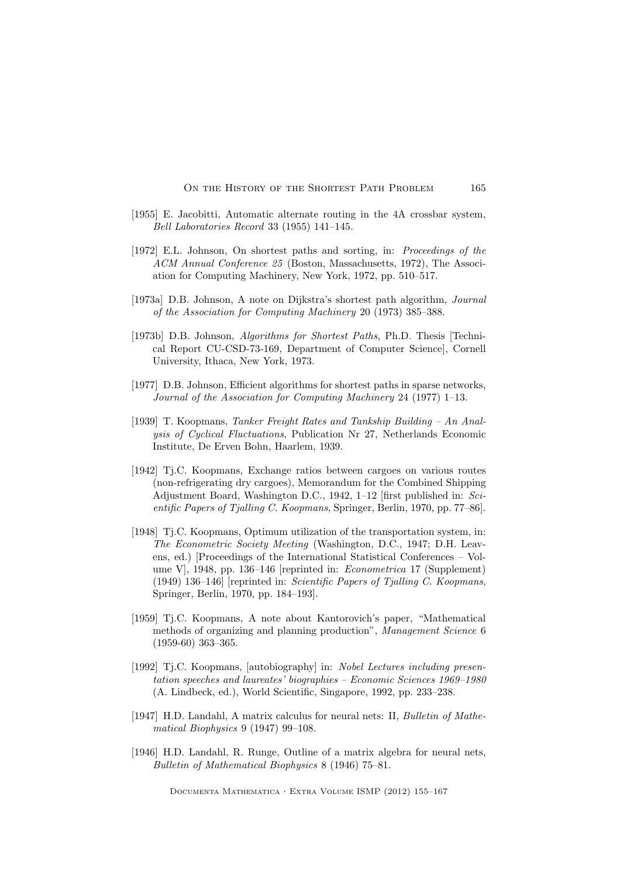- [1955] E. Jacobitti, Automatic alternate routing in the 4A crossbar system, Bell Laboratories Record 33 (1955) 141–145.
- [1972] E.L. Johnson, On shortest paths and sorting, in: Proceedings of the ACM Annual Conference 25 (Boston, Massachusetts, 1972), The Association for Computing Machinery, New York, 1972, pp. 510–517.
- [1973a] D.B. Johnson, A note on Dijkstra's shortest path algorithm, Journal of the Association for Computing Machinery 20 (1973) 385–388.
- [1973b] D.B. Johnson, Algorithms for Shortest Paths, Ph.D. Thesis [Technical Report CU-CSD-73-169, Department of Computer Science], Cornell University, Ithaca, New York, 1973.
- [1977] D.B. Johnson, Efficient algorithms for shortest paths in sparse networks, Journal of the Association for Computing Machinery 24 (1977) 1–13.
- [1939] T. Koopmans, Tanker Freight Rates and Tankship Building An Analysis of Cyclical Fluctuations, Publication Nr 27, Netherlands Economic Institute, De Erven Bohn, Haarlem, 1939.
- [1942] Tj.C. Koopmans, Exchange ratios between cargoes on various routes (non-refrigerating dry cargoes), Memorandum for the Combined Shipping Adjustment Board, Washington D.C., 1942, 1–12 [first published in: Scientific Papers of Tjalling C. Koopmans, Springer, Berlin, 1970, pp. 77–86].
- [1948] Tj.C. Koopmans, Optimum utilization of the transportation system, in: The Econometric Society Meeting (Washington, D.C., 1947; D.H. Leavens, ed.) [Proceedings of the International Statistical Conferences – Volume V], 1948, pp. 136–146 [reprinted in: Econometrica 17 (Supplement) (1949) 136–146] [reprinted in: Scientific Papers of Tjalling C. Koopmans, Springer, Berlin, 1970, pp. 184–193].
- [1959] Tj.C. Koopmans, A note about Kantorovich's paper, "Mathematical methods of organizing and planning production", Management Science 6 (1959-60) 363–365.
- [1992] Tj.C. Koopmans, [autobiography] in: Nobel Lectures including presentation speeches and laureates' biographies – Economic Sciences 1969–1980 (A. Lindbeck, ed.), World Scientific, Singapore, 1992, pp. 233–238.
- [1947] H.D. Landahl, A matrix calculus for neural nets: II, Bulletin of Mathematical Biophysics 9 (1947) 99–108.
- [1946] H.D. Landahl, R. Runge, Outline of a matrix algebra for neural nets, Bulletin of Mathematical Biophysics 8 (1946) 75–81.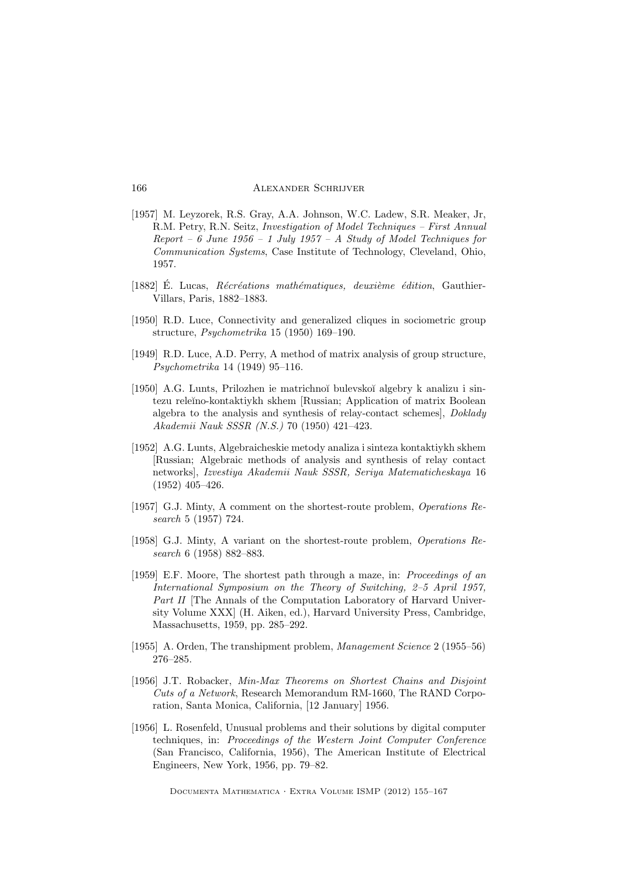# 166 Alexander Schrijver

- [1957] M. Leyzorek, R.S. Gray, A.A. Johnson, W.C. Ladew, S.R. Meaker, Jr, R.M. Petry, R.N. Seitz, Investigation of Model Techniques – First Annual  $Report - 6 June 1956 - 1 July 1957 - A Study of Model Techniques for$ Communication Systems, Case Institute of Technology, Cleveland, Ohio, 1957.
- [1882] É. Lucas,  $Récréations mathématiques, deuxième édition, Gauthier-$ Villars, Paris, 1882–1883.
- [1950] R.D. Luce, Connectivity and generalized cliques in sociometric group structure, Psychometrika 15 (1950) 169–190.
- [1949] R.D. Luce, A.D. Perry, A method of matrix analysis of group structure, Psychometrika 14 (1949) 95–116.
- [1950] A.G. Lunts, Prilozhen ie matrichno˘ı bulevsko˘ı algebry k analizu i sintezu rele˘ıno-kontaktiykh skhem [Russian; Application of matrix Boolean algebra to the analysis and synthesis of relay-contact schemes], Doklady Akademii Nauk SSSR (N.S.) 70 (1950) 421–423.
- [1952] A.G. Lunts, Algebraicheskie metody analiza i sinteza kontaktiykh skhem [Russian; Algebraic methods of analysis and synthesis of relay contact networks], Izvestiya Akademii Nauk SSSR, Seriya Matematicheskaya 16 (1952) 405–426.
- [1957] G.J. Minty, A comment on the shortest-route problem, Operations Research 5 (1957) 724.
- [1958] G.J. Minty, A variant on the shortest-route problem, *Operations Re*search 6 (1958) 882–883.
- [1959] E.F. Moore, The shortest path through a maze, in: Proceedings of an International Symposium on the Theory of Switching, 2–5 April 1957, Part II [The Annals of the Computation Laboratory of Harvard University Volume XXX] (H. Aiken, ed.), Harvard University Press, Cambridge, Massachusetts, 1959, pp. 285–292.
- [1955] A. Orden, The transhipment problem, Management Science 2 (1955–56) 276–285.
- [1956] J.T. Robacker, Min-Max Theorems on Shortest Chains and Disjoint Cuts of a Network, Research Memorandum RM-1660, The RAND Corporation, Santa Monica, California, [12 January] 1956.
- [1956] L. Rosenfeld, Unusual problems and their solutions by digital computer techniques, in: Proceedings of the Western Joint Computer Conference (San Francisco, California, 1956), The American Institute of Electrical Engineers, New York, 1956, pp. 79–82.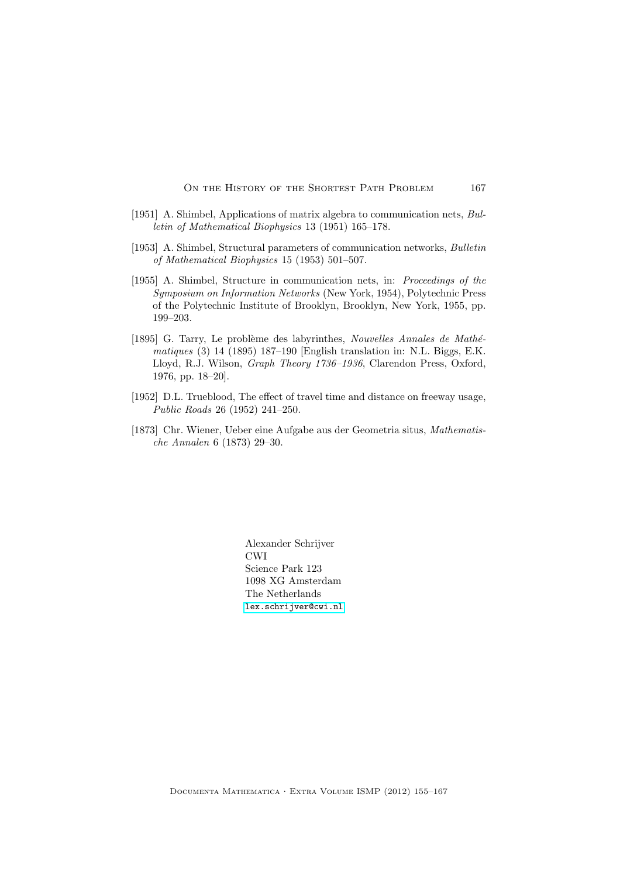- [1951] A. Shimbel, Applications of matrix algebra to communication nets, Bulletin of Mathematical Biophysics 13 (1951) 165–178.
- [1953] A. Shimbel, Structural parameters of communication networks, Bulletin of Mathematical Biophysics 15 (1953) 501–507.
- [1955] A. Shimbel, Structure in communication nets, in: Proceedings of the Symposium on Information Networks (New York, 1954), Polytechnic Press of the Polytechnic Institute of Brooklyn, Brooklyn, New York, 1955, pp. 199–203.
- [1895] G. Tarry, Le problème des labyrinthes, Nouvelles Annales de Mathématiques (3) 14 (1895) 187–190 [English translation in: N.L. Biggs, E.K. Lloyd, R.J. Wilson, Graph Theory 1736–1936, Clarendon Press, Oxford, 1976, pp. 18–20].
- [1952] D.L. Trueblood, The effect of travel time and distance on freeway usage, Public Roads 26 (1952) 241–250.
- [1873] Chr. Wiener, Ueber eine Aufgabe aus der Geometria situs, Mathematische Annalen 6 (1873) 29–30.

Alexander Schrijver CWI Science Park 123 1098 XG Amsterdam The Netherlands [lex.schrijver@cwi.nl](mailto:lex.schrijver@cwi.nl)